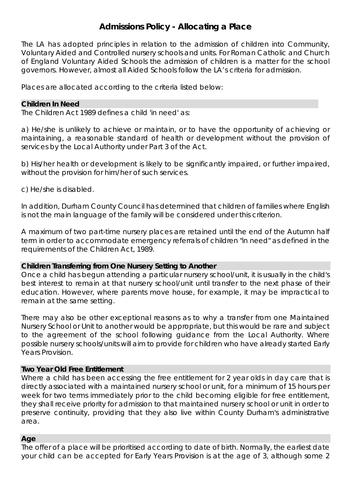# **Admissions Policy - Allocating a Place**

The LA has adopted principles in relation to the admission of children into Community, Voluntary Aided and Controlled nursery schools and units. For Roman Catholic and Church of England Voluntary Aided Schools the admission of children is a matter for the school governors. However, almost all Aided Schools follow the LA's criteria for admission.

*Places are allocated according to the criteria listed below:* 

## **Children In Need**

The Children Act 1989 defines a child 'in need' as:

a) He/she is unlikely to achieve or maintain, or to have the opportunity of achieving or maintaining, a reasonable standard of health or development without the provision of services by the Local Authority under Part 3 of the Act.

b) His/her health or development is likely to be significantly impaired, or further impaired, without the provision for him/her of such services.

c) He/she is disabled.

In addition, Durham County Council has determined that children of families where English is not the main language of the family will be considered under this criterion.

A maximum of two part-time nursery places are retained until the end of the Autumn half term in order to accommodate emergency referrals of children "in need" as defined in the requirements of the Children Act, 1989.

# **Children Transferring from One Nursery Setting to Another**

Once a child has begun attending a particular nursery school/unit, it is usually in the child's best interest to remain at that nursery school/unit until transfer to the next phase of their education. However, where parents move house, for example, it may be impractical to remain at the same setting.

There may also be other exceptional reasons as to why a transfer from one Maintained Nursery School or Unit to another would be appropriate, but this would be rare and subject to the agreement of the school following guidance from the Local Authority. Where possible nursery schools/units will aim to provide for children who have already started Early Years Provision.

# **Two Year Old Free Entitlement**

Where a child has been accessing the free entitlement for 2 year olds in day care that is directly associated with a maintained nursery school or unit, for a minimum of 15 hours per week for two terms immediately prior to the child becoming eligible for free entitlement, they shall receive priority for admission to that maintained nursery school or unit in order to preserve continuity, providing that they also live within County Durham's administrative area.

#### **Age**

The offer of a place will be prioritised according to date of birth. Normally, the earliest date your child can be accepted for Early Years Provision is at the age of 3, although some 2